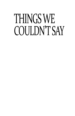# THINGS WE COULDN'T SAY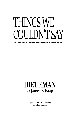# THINGS WE COULDN'T SAY

A dramatic account of Christian resistance in Holland during World War II

## **DIET EMAN** with James Schaap

Lighthouse Trails Publishing Silverton, Oregon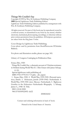Copyright ©1999 by Wm. B. Eerdmans Publishing Company **2008** Special Lighthouse Trails Publishing Edition Lighthouse Trails Publishing Edition published by arrangement with Wm. B. Eerdmans Publishing Company.

All rights reserved. No part of this book may be reproduced, stored in a retrieval system, or transmitted in any form by any means, whether electronic, mechanical, photocopying, recordings, or otherwise without prior written permission from the publisher. All Scripture quotations are taken from the *King James Version*.

Cover Design by Lighthouse Trails Publishing; Cover photo used by permission from iStockPhoto.com ©Christine Balderas.

For photo and illustration credits, please see page 343.

Library of Congress Cataloging-in-Publication Data

Eman, Diet, 1920- Things We Couldn't Say : a dramatic account of Christian resistance in Holland during World War II / Diet Eman with James Schaap. p. cm. Special lighthouse trails publishing ed. ISBN 978-0-9791315-7-8 (pbk. : alk. paper) 1. Eman, Diet, 1920- 2. World War, 1939-1945--Personal narratives, Dutch. 3. Holocaust, Jewish (1939-1945)--Netherlands. 4. World War, 1939-1945--Jews--Rescue--Netherlands. 5. Righteous Gentiles in the Holocaust--Netherlands--Biography. I. Schaap, James C., 1948- II. Title. D811.5.E44 2008

940.53'18350922492--dc22

#### 2008024242

Contact and ordering information in back of book.

Printed in the United States of America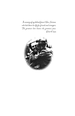In memory of my beloved fiancé Hein Sietsma, who laid down his life for friends and strangers. The greatest love knows the greatest pain.  $\mathcal{D}$ iet  $\mathcal{E}$ man

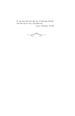*If any man will come after me, let him deny himself, and take up his cross, and follow me. —Jesus (Matthew 16:24)*

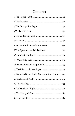### **Contents**

| 8/The Apartment on Reinkenstraat  113            |
|--------------------------------------------------|
|                                                  |
|                                                  |
| 11/Leeuwarden and Zwijndrecht 155                |
|                                                  |
| 13/Barracks No. 4, Vught Concentration Camp  197 |
|                                                  |
|                                                  |
|                                                  |
|                                                  |
|                                                  |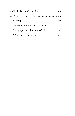| The Eighteen Who Died-A Poem  341       |
|-----------------------------------------|
| Photograph and Illustration Credits 343 |
|                                         |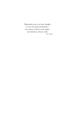Remember, just as we have thought of our own land and friends day always follows after night, and darkness always ends. *Jan Campert*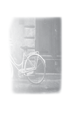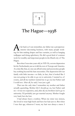

### The Hague—1938

s far back as I can remember, my father ran a prosperous interior decorating business, with many people working for him making drapes and lace curtains, as well as hanging wallpaper and doing upholstery. He did a good deal of contract work for wealthy and important people in the Dutch city of The Hague.

But when I was nine years old, in 1929-30, a severe depression hit the Netherlands, just as it did the rest of Europe and America. At a time like that, no one can afford extras and accessories; people buy nothing beyond the bare necessities. The depression left our family with little income—so little, in fact, that it looked like I was not going to be able to go on to university. I wanted to, of course, and all my teachers wanted me to go on; but Father said I could not. After all, he said, I was just a girl.

That was the only time I remember my mother and father actually quarreling. Mother felt I should go on, but Father said no—it was too expensive, and, after all, my brothers *had* to go to university. I'd probably just get married anyway. Mother fought very hard, but she lost.

I had always been a tomboy. When my sister was sixteen, she loved to wear high heels and have her hair just so. But when I was that age, wherever I went, my hair was always a mess. I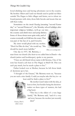loved climbing trees and having adventures out in the country. My brother Albert and I and our friends used to pedal our bikes outside The Hague to little villages and farms, out to where we found pastures with *sloten*, those little brooks and moats that are still there today.

Sometimes on the *tweede Paasdag* (meaning "second Easter day," or "second Pentecost"), the Monday school holidays after

important religious holidays, we'd go out into the country and climb trees and jump ditches. Some of those sloten were quite wide, and of course eventually we'd fall into the water. That was part of the fun of it, and I loved it.

My sister would plead with my mother. "Don't let Diet do that," she would say. "She should be much more ladylike."



Diet, as a young teen

One day in 1937, Mr. Reitsma, a man from our church (the *koster* as we called him in Dutch—the church janitor and bookkeeper), spoke to my parents.

"I have an old friend whose name is Jilt Sietsma. One of his sons has found a job here in The Hague at Shell Oil. This son can't pay much, but he needs a place to live."

Father looked over at Mother, because he left those kinds of decisions up to her.

"I thought of the Emans," Mr. Reitsma went on, "because you are such a nice family. Could you maybe take this boy in—at

least until he finds a place to live?"



Fanny, Diet's older sister

My mother wasn't taken with the idea, at least at first, but besides being the decisionmaker on these types of matters, she had a big heart.

"This boy is the oldest of a very large family," Mr. Reitsma said, "and it's a very sad story because the mother just recently died."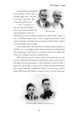Immediately, my mother's heart melted. "I can't take a boarder right now—my life is too busy," she said. "But I can take another son."

I was seventeen at the time, the third child of four in the Eman family. My sister Stephana, whom we



Diet's parents

called Fanny, was the oldest at twenty-five. My brother Arjan—a very old Dutch name—was a year younger than Fanny. Then came the *kleintjes*, the little ones, me and my little brother, Albert, seven and eight years younger.

I personally didn't like the idea of another family member at all. We were a very happy family, and it seemed to me that having this strange guy in our house, a young man only a year older than I was, was nothing to get too excited about.

Hein Sietsma was his name, and he had been born in the town of Marum in Friesland. At the time he came to live with us, his father was the principal of a tiny Christian school in Holk, a place that was hardly a town at all—a little farming community just outside Nijkerk, Gelderland. When I was young, country places like Holk and Nijkerk seemed to me to be an entire age



Diet's brothers—Albert (l) and Arjan (r)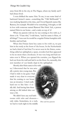away from life in the city, in The Hague, where my family and I had always lived.

I even disliked the name *Hein*. To me, it was some kind of backward farmer's name—something like "Old McDonald." I was studying Spanish at the time, and I loved Spanish names like Ramon, for example. Wouldn't it be something, I thought, to fall in love with someone named Ramon? But Hein! Ach, a person named Hein in our home—and a male on top of it!

When my parents told me he was coming to live with us, I threw a fit. "I hate this," I told them, "and his name is Hein, of all things!" I was sure he would be a regular Frisian bumpkin with freckles and red hair.

When this Frisian farm boy came to live with us, we put him in the study at the front of the house. In the Netherlands we had a kind of bed that I've never seen in the States, something called an opklapbed, a spare, wooden bed that appeared to be no more than a bookcase. It was very long and had curtains over it. When you opened the curtains, you flipped the bed out from the wall and laid it on the floor. So, naturally, this new member of our family slept in the opklapbed.

Shortly after Hein came to live with us, I discovered that he was actually a pretty nice young man. But I had to stick to my guns. I had made it very clear to everyone that his coming to our house was an invasion. I tried really hard not to like him—I really did. And having him there among us did indeed alter our ways a bit.

We didn't have any real bathrooms with tubs and showers only sinks. Sometimes, in a rush, we had to wash right in the middle



Diet and her parents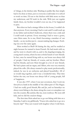of things, in the kitchen sink. Washing in public like that simply had to be done at times, just so everyone could make it to school or work on time. I'd run to the kitchen with little more on than my underwear, and I'd wash in the sink. With just our regular family there, my brother wouldn't even see me, if he happened to pass.

But when we had a strange fellow in the house, I couldn't do that anymore. Every morning I had to wait until I could wash up in my father and mother's bedroom, where there was a sink and I could wash in private. Every morning I had to wear a gown, once Hein came. So to me, Hein's becoming a member of our family—as my mother put it—meant making big changes. Nothing was ever the same again.

Hein worked at Shell Oil during the day, and he studied at night because he wanted to learn French. He had meals with us, and he went to church with us, and to the *Jongelingsvereniging*, the young men's society, where he met a whole bunch of new friends. In fact, once he started living with us, our house was always full of people. I had my friends, of course, and my brother Albert had his friends, and now Hein brought in a lot of new friends. We had a piano and an organ, and Albert, who was very musical, played the cello. (He always wanted to play music professionally; indeed, he was in an orchestra and played beautifully.) All of us would sing together, and it was a wonderful time. That time before the war, our house was always full of young people, full of happiness.

It was also 1937, when I was just seventeen, that I took my first job at a bank in the middle of the oldest part of The Hague. I had two really good friends, Rie and Jet, and on Saturdays we always went biking to the dunes along the coast or someplace out into the country. Rie and Jet, like me, were tomboys. We were still kids, and we did the craziest things.

The first time Hein asked me to go out biking with him on a Saturday, I said to my girlfriends, "Guess who asked me to go on a bicycle trip?" They just roared with laughter when I told them.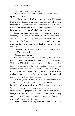"What did you say?" they asked.

"Why of course I told him no," I said, almost as if offended by his having asked.

And the truth was I didn't want to go with him. Why should I, when every Saturday I was having so much fun with my own friends? Besides, I certainly wouldn't have admitted that I rather liked him, not after the fit I'd thrown when my parents announced he was moving in. I couldn't admit *that* for a long time.

But one Saturday afternoon in 1938, when my girlfriends couldn't go, I decided to take this Hein Sietsma up on another one of his invitations to go biking. So we went, the two of us. And we talked and talked and talked—which is something everyone did when biking in Holland: ride along for miles and talk.

"So how was it?" Rie and Jet asked when I saw them afterwards. "What happened?"

"Boring," I told them,

And it was. With the girls I did crazy things. But Hein was a year older than I was, and he was obviously much more mature. With my girlfriends I climbed trees, jumped ditches, and had tomboy adventures. This date with Hein had been really low on adventure: it was dull, really; all we'd done was talk. Okay, he was a nice guy. But at that time of my life, I told myself, if I had to choose how to spend my Saturday afternoons, I would much prefer spending them with my friends.

Much later, my mother told me that Hein had spoken to her about me, had asked her what he could do to interest me. She had told him I wasn't ready for the kind of thing he was ready for; I was just a girl who thought real excitement was running in the woods and jumping *sloten*. I was certainly not interested in boys, especially those who did nothing more than ask boring questions. He told Mother he was crazy about me. "But it's like she doesn't even see me!" he said.

"Just slow down a bit," my mother told him. "Diet is not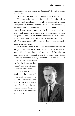ready for this boyfriend business. Be patient," she said, or words to that effect.

Of course, she didn't tell me any of this at the time.

Hein came to live with us at the end of 1937, and for a long time he just observed me, I suppose. I was eighteen when I went biking with him for the first time. And then, after a year or so, he moved out of our house and in with some friends. Suddenly I missed him, though I never admitted it to anyone. All the friends still came over to our house, but soon Hein was gone for good. He had been drafted into the Dutch military service. It was a time when the whole world we lived in, so innocently full of happiness and children's games, had become, suddenly, much more dangerous.

Everyone was being drafted. Hein was sent to Deventer, on the IJssel River just south of Kampen, not far from the German border. When he was there, I realized how much I cared about him. I realized I loved him. I figured it out when I knew that if something happened to him, I wouldn't know how to handle

it. He had tried to tell me he loved me in his own way, but I hadn't paid any attention before the threat of war.

Hein would write my family from Deventer, and every family member wrote to him individually. But when I read his letters, I could feel the way he was reaching for something from me in particular, something to hold on to.



Hein, about 18 years old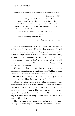#### **ೲೲೲೲೲೲೲೲೲೲೲೲೲೲೲೲೲೲೲೲ**

 *December 13, 1939* 

This morning I traveled from The Hague to Nijkerk, on leave. I don't know what to think of Diet. I had intended to talk a moment very seriously with her, all alone, while I was going to look into her beautiful eyes. That moment did not come.

Partly, she is a riddle to me. Next time better! A woman is sometimes a riddle. Diet is a tomboy, and mischievous.

 *from the journal of Hein Sietsma* 

All of the Netherlands was afraid in 1938, afraid because we could see what kind of power Hitler had already amassed. He had taken Austria when so many people thought he never would. We all believed England and France would certainly act at that time, but they didn't. When Hitler took Poland, we all understood that danger was on its way. We didn't know for sure when it would come, of course, but we could not deny our fear that something bad was about to happen.

When there is danger on your doorstep, you want to act almost like an ostrich burying its head in the sand. We liked to think that what had happened in Austria and Poland could not happen in the Netherlands. Maybe that was the only way to go on with life—denying, avoiding the worst possible thoughts.

I began to realize then how stupid I had been in not paying more attention when Hein was hinting that he loved me. So when I got a letter from him saying that on his next three or four days off he would love to come to The Hague and see me—not just my family—I wrote back immediately and told him, very carefully of course, that his coming to see me seemed to me like a very nice idea indeed.

That weekend, when I went to the railway station to meet him, my heart was nearly out of control. That was when I knew I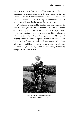was in love with him. By then we had known each other for quite some time, but meeting him alone at the train station for the very first time, I felt as if I didn't want to lose this man, not ever. I knew then that I wanted him to be part of my life, and I understood, just from being with him, that he wanted the same for me.

We had more weekends like that first one, when Hein would come to The Hague on leave. We would talk and talk, and I found out what a really wonderful character he had. He had a great sense of humor. Sometimes we didn't have to say anything at all to each other, just stare into each other's eyes, and we would burst out laughing. But we also talked deeply and could be very serious. Our love grew. That first time we had gone biking together, when I was still a tomboy and Hein still seemed to me to be an intruder into our household, I had thought all his talk was boring. Something changed: I had fallen in love.



Diet, on one of the special weekend bike rides with Hein - 1939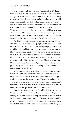There were wonderful long bike rides together. We'd pack a lunch and have a picnic somewhere along the side of the road, at a spot with tall trees and beautiful scenery, somewhere along those *sloten*. We'd sit on the grass and eat our lunch—bread with cheese or peanut butter that we had made ourselves at home and we'd drink our lemonade. There was no ice, of course, but that lemonade tasted wonderful right out of Hein's army canteen. Those were the best days, days when we could still have that kind of fun in 1938. Hein loved classical music, so we would go to concerts. For example, we heard Feike Asma, a very famous Frisian organist; and we always went to the St. Matthew's Passion.

We dated in a way that young people today might think very old-fashioned. Very few Dutch people could afford to be fulltime students at that time—I was taking language classes—so we all had jobs, and in the evenings we would study on our own. Maybe on Saturday nights we would go to a concert or take a walk, if it was nice weather. Maybe we would simply visit friends. On Sundays we went to church and we would sit together; after church we had coffee together and dinner. Those were our dates. Hein loved to play chess and backgammon, and he taught me to play those games. That was our courtship, and that's how we fell in love—quietly but deeply.

My mother and father loved Hein like a son. Mother had a very hectic life—with both my friends and Hein's coming over all the time—but I know she loved all the activity. Whenever Hein got a weekend pass from the service, he would come to our house. This was often in preference to his own home, partly because Hein's father was a very, very strict man. Hein always respected his father, but sometimes he questioned his rather severe ways.

One day my father got a letter from Hein's father, who knew his son was about to receive a three-day leave that began on a Sunday. Hein had planned to hop on the train before church on Sunday morning, which meant, of course, that he would be traveling on the Sabbath. His father asked my father to refuse to admit Hein into our home because he thought Hein's taking the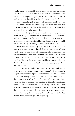Sunday train was sinful. My father wrote Mr. Sietsma back after Hein had spent the weekend with us: "I'm glad your son Hein came to The Hague and spent the day and went to church with us. I would have hated it if he had simply gone to a bar."

Hein was, in fact, often angry with his father. But both of us could also understand his father's ways. He was a man who was very sure of his ways, and he had a very large family, so large that his discipline had to be quite strict.

Hein tried to spread his leaves out so he could get to his family in Holk, but he knew he was never welcome at home if his leave began on the Sabbath. If he had only two days off, he would come to our house first. He knew that otherwise he would waste a whole day just having to avoid travel on Sunday.

We wrote each other very often. What I understand about myself now was that even though I was a tomboy when I was a girl, I was still something of an introvert. Even though I was often willing to be different, I found it very difficult to tell Hein exactly what I felt for him at that time. Maybe it took more courage than I had; maybe it was just something about us and about the time. It strikes me now that I was so very young when all of this was happening.

Hein seemed to find it much easier to be open and honest in expressing his feelings toward me. I couldn't—I just couldn't. Maybe my reluctance was just a part of my own old-fashioned ways: "Don't ever show your feelings," was the kind of forced exterior that is quite typical of the Dutch. Sometimes, I know, I must have seemed to him to be quite cold. But that first time he came to see me in The Hague, when he came to see just *me,* I kissed him. At that moment I somehow knew that what I felt for him was something that was not going to simply pass away. He kissed me too—yes, he did. That was quite an experience for me. It was wonderful that first weekend, and it was just the beginning.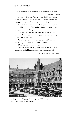**೦೦೦೦೦೦೦೦೦೦೦೦೦೦೦೦೦೦೦೦೦೦೦೦೦೦೦**೦

*November 17, 1939* 

Katrientje is a cute, fresh young girl with red cheeks. Nice to talk to and she knows her place among the "young people." A fun-type, a little tom-boyish.

But Diet has, apart from all these good qualities, also her childlike, simple faith and the inborn quality to see the good in everything. Conscious, or unconscious for her it is: "God is with me and therefore I am happy and try to look for the good in everybody, without pushing myself into the foreground."

Why does she not write? Does she not know that I am aching for a letter, for a word from her?

Diet, are you coming tomorrow?

I want to hold you to my heart and tell you that I love you completely. I have seen that you love me, my all.

*from the journal of Hein Sietsma*



A view of the *Binnenhof*. Photo taken 1930-1939. *United States Holocaust Memorial Museum*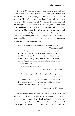It was 1939, and a number of our close friends had also fallen in love by that time. Johan Van Gelder, a friend Hein had met at our church, was engaged. And the other Johan, whom we called "Bram" to distinguish them from each other, was engaged to Nel, another friend. We were all deeply in love—all three couples. The girls loved each other too, and the guys were very good buddies. We had a wonderful world. Nel, Bram's girl, also lived in The Hague. But Johan was from Amersfoort, and so was his fiancée, Fokje. She would come to The Hague some weekends to see him, and often she stayed with us. My parents' house was like a hotel: one weekend it would be this young man or woman, the next someone else.

```
೦೦೦೦೦೦೦೦೦೦೦೦೦೦೦೦೦೦೦೦೦೦೦೦೦೦೦೦
```
*November 20, 1939*

Birthday of Mr. Eman. Yesterday afternoon to The Hague. Made my own leave permit. Was at 4:30 p.m. in the Malakkastraat. Bram was also there. With Bram we went to pick Diet up from church. Diet and Rie don't see us. We pass them and turn around and follow them. Still they don't see us.

I hook my arm into hers.

*from the journal of Hein Sietsma*

وتنحه واستحدثته والاحتصار المتحدود

*November 1939*

Sunday I had a big surprise. When I walked home from church, all of a sudden Hein was walking right next to me! I did not know what I saw!!

 *from the diary of Diet Eman*

In the Netherlands, the fifth of December is called Sinter Klaas, and on that day we all make presents—sometimes silly, sometimes not—for our close friends and family. Once when we were swimming in the ocean, Hein had noticed that I was scared stiff of jellyfish. When the wind blew from a certain direction,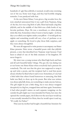hundreds of ugly blue jellyfish, it seemed, would come storming out of the sea. Some were huge, and they had horrible stinging tentacles. I was paralyzed with fear.

At the next Sinter Klaas, I was given a big wooden box; the note attached announced that it was a gift from Neptune, King of the Sea. In it was a big blob of jello. Hein had made a big blue jellyfish, and in the middle of that blob was a little bottle of my favorite perfume, *Maja*. He was a sweetheart, so often playing tricks like that. Sometimes when I went to bed at night—in those days you rolled your nightie under your pillow—I would grab my nightie and something would roll out, a box of perfume or an apple or something. He loved to play those little surprises, and they were always thoughtful.

We were all supposed to write poems to accompany our Sinter Klaas presents. Hein wrote a beautiful poem with that jellyfish present, a note that described how Neptune wept because I had been so afraid of one of the little creatures of his kingdom. I'll never forget it.

My sister was a young woman who liked high heels and hats and all such beautiful ladies' things. The guy she was dating was at our home one Sinter Klaas when everybody had a present for somebody. The rule was that the giver was supposed to wrap it up and write a poem, and the recipient had to read that poem aloud, whether he liked what it said or not. Sometimes, if one had a little habit that others found humorous or annoying, that little habit was likely to show up in the poem. But what was written was always playfully done, not something to make anyone furious. The gift might be just a little thing, but it was always wrapped deceptively in a big box, wrapped time and time again. Sometimes it had other people's names on each separate wrapping: on the outside the gift might say it was intended for Fanny, but once she opened the outside paper, she'd discover the next layer would say it was actually intended for Hein; then he would open it and say, "It's really for Father."

That year my mother had bought a beautiful lace brassiere for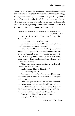Fanny, who loved lace. Now a bra was a very private thing in those days. But Mother always got mixed up when she wrapped things, so that present ended up—where would you guess?—right in the hands of my sister's new boyfriend. This young man was what we call in Dutch a *droogkomiek*: he had a very dry sense of humor. He opened the package, held up this beautiful lace bra, and said in a flat tone, "Ja, what am I supposed to do with this?"

```
೦೦೦೦೦೦೦೦೦೦೦೦೦೦೦೦೦೦೦೦೦೦೦೦೦೦೦೦
              December 5, 1939
```
Went on leave to The Hague last Sunday. The English church.

Yesterday we celebrated Sinterklaas.

Afterward in Diet's room. She was so beautiful: I don't think I ever saw her so beautiful.

When she says, "Why are you laughing, Hein?" and I look into her eyes which are always laughing when she looks up, I can only feel how wonderful it is that both of us have to laugh quietly when we look at each other. Sometimes we burst out laughing loudly, because we just can't say a thing.

When once there came a tear in her eye, I asked, "What's the matter, Diet?"

And she said, "I had to think of . . ."

I didn't ask any further.

But it was so wonderful to have such a girl with you, who trusts you, to know and to feel that she loves you and that she is yours.

Such a girl you can never harm or hurt. You think everything about her, her soul, herself—everything is wonderful and you don't want to ruin anything. That can't happen—it can never happen, fortunately. You only may love and make her happy, like she makes you happy.

Diet, when I think of you, I am so happy.

Lord, give that I may love her.

*from the journal of Hein Sietsma*